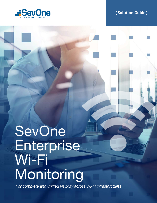

# **[ Solution Guide ]**

# SevOne Enterprise Wi-Fi **Monitoring**

*For complete and unified visibility across Wi-Fi infrastructures*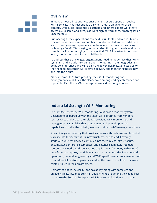

#### **Overview**

In today's mobile-first business environment, users depend on quality Wi-Fi services. That's especially true when they're on an enterprise campus. Employees, customers, partners and others expect Wi-Fi that's accessible, reliable, and always delivers high performance. Anything less is unacceptable.

But meeting these expectations can be difficult for IT and NetOps teams. One reason is the enormous number of Wi-Fi-enabled, connected devices – and users' growing dependence on them. Another reason is evolving technology; 'Wi-Fi 6' is bringing more bandwidth, higher speeds, and more complexity. For teams trying to manage their Wi-Fi infrastructures using legacy monitoring tools, it's an uphill battle.

To address these challenges, organizations need to modernize their Wi-Fi systems – and include next-generation monitoring in their upgrades. By doing so, enterprises and MSPs gain the power, flexibility, and scalability they need to meet their Wi-Fi service delivery and monitoring needs now and into the future.

When it comes to 'future-proofing' their Wi-Fi monitoring and management capabilities, the clear choice among leading enterprises and top-tier MSPs is the SevOne Enterprise Wi-Fi Monitoring Solution.

### **Industrial-Strength Wi-Fi Monitoring**

The SevOne Enterprise Wi-Fi Monitoring Solution is a modern system. Designed to be paired up with the latest Wi-Fi offerings from vendors such as Cisco and Aruba, the solution provides Wi-Fi monitoring and management capabilities that complement and extend upon the capabilities found in the built-in, vendor-provided, Wi-Fi management tools.

It is an integrated offering that provides teams with real-time and historical visibility into their entire Wi-Fi infrastructures, end-to-end. Coverage starts with wireless devices, continues into the wireless infrastructure, encompasses enterprise campuses, and extends seamlessly into data centers and cloud-based services and applications. And now, with over 20 out-of-the-box reports, multiple teams across an enterprise from network operations, network engineering and Wi-Fi specific users can access sets of curated workflows to help users speed up the time to resolution for Wi-Fi related issues in their environment.

Unmatched speed, flexibility, and scalability, along with complete and unified visibility into modern Wi-Fi deployments are among the capabilities that make the SevOne Enterprise Wi-Fi Monitoring Solution a cut above.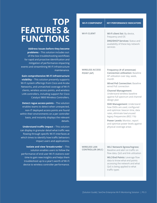| <b>WI-FI COMPONENT</b>                         | <b>KEY PERFORMANCE INDICATORS</b>                                                                                                                                                                                                                                                                                                                                                                                                                                                                                                                                             |
|------------------------------------------------|-------------------------------------------------------------------------------------------------------------------------------------------------------------------------------------------------------------------------------------------------------------------------------------------------------------------------------------------------------------------------------------------------------------------------------------------------------------------------------------------------------------------------------------------------------------------------------|
| <b>WI-FI CLIENT</b>                            | Wi-Fi client list: By device,<br>frequency and OS<br><b>DNS/DHCP Services: Status and</b><br>availability of these key network<br>services                                                                                                                                                                                                                                                                                                                                                                                                                                    |
| <b>WIRELESS ACCESS</b><br><b>POINT (AP)</b>    | Frequency (# of antennae)<br><b>Connection utilization: Baseline</b><br>AP utilization over day, week,<br>month<br><b>Wired PoE Connection: Baseline</b><br>wired PoE connection<br><b>Channel Management:</b><br>Understand wireless baseline<br>against full spectrum and channel<br>design plan<br><b>SSID Management: Understand</b><br>how SSIDs are used, configured<br>and optimize: beacon time, data<br>rates, eliminate low/unused<br>legacy frequencies (802.11b)<br>Power Levels: Monitor, report<br>and optimize power levels against<br>physical coverage areas |
| <b>WIRELESS LAN</b><br><b>CONTROLLER (WLC)</b> | <b>WLC Network Egress/Ingress:</b><br>Baseline and alert on traffic on<br>flow data, QoS and link utilization<br><b>WLC/End Points: Leverage flow</b><br>data to know what end points<br>accessing the network and what<br>QoS is being applied to what<br>traffic types                                                                                                                                                                                                                                                                                                      |

# **TOP FEATURES & FUNCTIONS**

**Address Issues before they become problems** – This solution includes outof-the-box troubleshooting workflows for rapid and proactive identification and mitigation of performance-impacting events and streamlining Wi-Fi infrastructure maintenance.

**Gain comprehensive Wi-Fi infrastructure visibility** – This solution presently supports Wi-Fi system offerings from Cisco and Aruba Networks, and unmatched coverage of Wi-Fi clients, wireless access points, and wireless LAN controllers, including support for Cisco Catalyst 9800 Wireless Controllers.

**Detect rogue access points** – The solution enables teams to detect when unexpected, non-IT deployed access points are found within their environments on a per controller basis, and instantly displays the relevant details.

**Understand traffic impact** – This solution can display in granular detail what traffic was flowing through specific Wi-Fi interfaces at which times to identify how traffic behaviors impact users and applications.

**Isolate and view 'breadcrumbs'** – This solution enables users to follow the performance of end user Wi-Fi stations over time to gain new insights and helps them troubleshoot up to a year's worth of Wi-Fi device to wireless controller performance.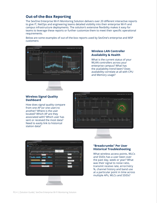# **Out-of-the-Box Reporting**

The SevOne Enterprise Wi-Fi Monitoring Solution delivers over 20 different interactive reports to give IT, NetOps and engineering teams detailed visibility into their enterprise Wi-Fi and campus infrastructure deployments. The solution's extensive flexibility makes it easy for teams to leverage these reports or further customize them to meet their specific operational requirements.

Below are some examples of out-of-the-box reports used by SevOne's enterprise and MSP customers:

#### **Wireless LAN Controller Availability & Health**

What is the current status of your WLAN controllers across your enterprise campus? What has the availability trend been? Does availability correlate at all with CPU and Memory usage?

#### **Wireless Signal Quality Dashboard**

How does signal quality compare from one AP (or one user) to another? Where is the user located? Which AP are they associated with? Which user has sent or received the most data? Need to easily link to historical station data?

#### **"Breadcrumbs" Per User Historical Troubleshooting**

What wireless access points, WLCs and SSIDs has a user been over the past day, week or year? What was their signal to noise ratio, transmit receive rate, error/retry %, channel history and band use at a particular point in time across multiple APs, WLCs and SSIDs?